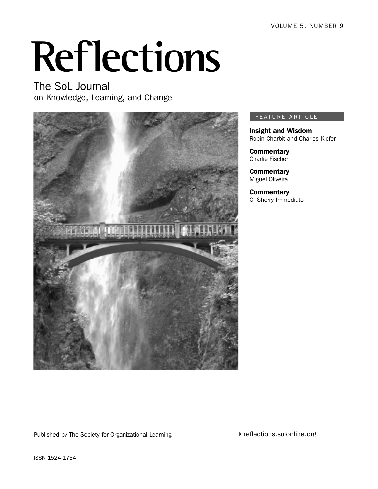# **Reflections**

The SoL Journal on Knowledge, Learning, and Change



### FEATURE ARTICLE

Insight and Wisdom Robin Charbit and Charles Kiefer

**Commentary** Charlie Fischer

**Commentary** Miguel Oliveira

**Commentary** C. Sherry Immediato

Published by The Society for Organizational Learning

▶ reflections.solonline.org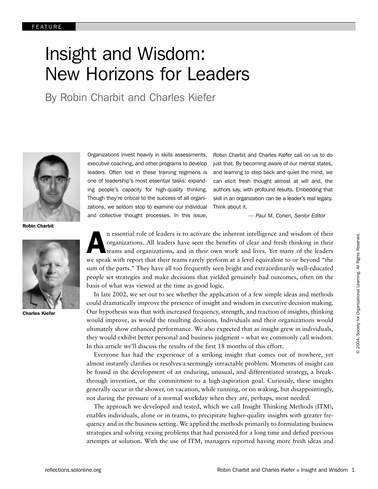# Insight and Wisdom: New Horizons for Leaders

By Robin Charbit and Charles Kiefer



Robin Charbit



Charles Kiefer

Organizations invest heavily in skills assessments, executive coaching, and other programs to develop leaders. Often lost in these training regimens is one of leadership's most essential tasks: expanding people's capacity for high-quality thinking. Though they're critical to the success of all organizations, we seldom stop to examine our individual and collective thought processes. In this issue,

Robin Charbit and Charles Kiefer call on us to do just that. By becoming aware of our mental states, and learning to step back and quiet the mind, we can elicit fresh thought almost at will and, the authors say, with profound results. Embedding that skill in an organization can be a leader's real legacy. Think about it.

*— Paul M. Cohen, Senior Editor*

An essential role of leaders is to activate the inherent intelligence and wisdom of their organizations. All leaders have seen the benefits of clear and fresh thinking in their teams and organizations, and in their own work and lives. Yet many of the leaders we speak with report that their teams rarely perform at a level equivalent to or beyond "the sum of the parts." They have all too frequently seen bright and extraordinarily well-educated people set strategies and make decisions that yielded genuinely bad outcomes, often on the basis of what was viewed at the time as good logic.

In late 2002, we set out to see whether the application of a few simple ideas and methods could dramatically improve the presence of insight and wisdom in executive decision making. Our hypothesis was that with increased frequency, strength, and traction of insights, thinking would improve, as would the resulting decisions. Individuals and their organizations would ultimately show enhanced performance. We also expected that as insight grew in individuals, they would exhibit better personal and business judgment – what we commonly call wisdom. In this article we'll discuss the results of the first 18 months of this effort.

Everyone has had the experience of a striking insight that comes out of nowhere, yet almost instantly clarifies or resolves a seemingly intractable problem. Moments of insight can be found in the development of an enduring, unusual, and differentiated strategy, a breakthrough invention, or the commitment to a high-aspiration goal. Curiously, these insights generally occur in the shower, on vacation, while running, or on waking, but disappointingly, not during the pressure of a normal workday when they are, perhaps, most needed.

The approach we developed and tested, which we call Insight Thinking Methods (ITM), enables individuals, alone or in teams, to precipitate higher-quality insights with greater frequency and in the business setting. We applied the methods primarily to formulating business strategies and solving vexing problems that had persisted for a long time and defied previous attempts at solution. With the use of ITM, managers reported having more fresh ideas and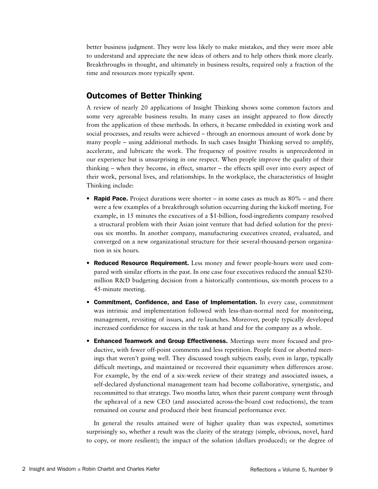better business judgment. They were less likely to make mistakes, and they were more able to understand and appreciate the new ideas of others and to help others think more clearly. Breakthroughs in thought, and ultimately in business results, required only a fraction of the time and resources more typically spent.

# Outcomes of Better Thinking

A review of nearly 20 applications of Insight Thinking shows some common factors and some very agreeable business results. In many cases an insight appeared to flow directly from the application of these methods. In others, it became embedded in existing work and social processes, and results were achieved – through an enormous amount of work done by many people – using additional methods. In such cases Insight Thinking served to amplify, accelerate, and lubricate the work. The frequency of positive results is unprecedented in our experience but is unsurprising in one respect. When people improve the quality of their thinking – when they become, in effect, smarter – the effects spill over into every aspect of their work, personal lives, and relationships. In the workplace, the characteristics of Insight Thinking include:

- Rapid Pace. Project durations were shorter in some cases as much as  $80\%$  and there were a few examples of a breakthrough solution occurring during the kickoff meeting. For example, in 15 minutes the executives of a \$1-billion, food-ingredients company resolved a structural problem with their Asian joint venture that had defied solution for the previous six months. In another company, manufacturing executives created, evaluated, and converged on a new organizational structure for their several-thousand-person organization in six hours.
- Reduced Resource Requirement. Less money and fewer people-hours were used compared with similar efforts in the past. In one case four executives reduced the annual \$250 million R&D budgeting decision from a historically contentious, six-month process to a 45-minute meeting.
- Commitment, Confidence, and Ease of Implementation. In every case, commitment was intrinsic and implementation followed with less-than-normal need for monitoring, management, revisiting of issues, and re-launches. Moreover, people typically developed increased confidence for success in the task at hand and for the company as a whole.
- Enhanced Teamwork and Group Effectiveness. Meetings were more focused and productive, with fewer off-point comments and less repetition. People fixed or aborted meetings that weren't going well. They discussed tough subjects easily, even in large, typically difficult meetings, and maintained or recovered their equanimity when differences arose. For example, by the end of a six-week review of their strategy and associated issues, a self-declared dysfunctional management team had become collaborative, synergistic, and recommitted to that strategy. Two months later, when their parent company went through the upheaval of a new CEO (and associated across-the-board cost reductions), the team remained on course and produced their best financial performance ever.

In general the results attained were of higher quality than was expected, sometimes surprisingly so, whether a result was the clarity of the strategy (simple, obvious, novel, hard to copy, or more resilient); the impact of the solution (dollars produced); or the degree of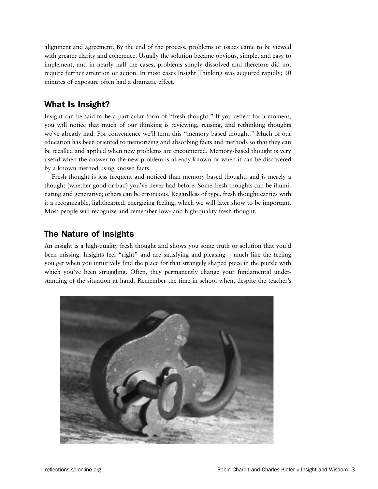alignment and agreement. By the end of the process, problems or issues came to be viewed with greater clarity and coherence. Usually the solution became obvious, simple, and easy to implement, and in nearly half the cases, problems simply dissolved and therefore did not require further attention or action. In most cases Insight Thinking was acquired rapidly; 30 minutes of exposure often had a dramatic effect.

# What Is Insight?

Insight can be said to be a particular form of "fresh thought." If you reflect for a moment, you will notice that much of our thinking is reviewing, reusing, and rethinking thoughts we've already had. For convenience we'll term this "memory-based thought." Much of our education has been oriented to memorizing and absorbing facts and methods so that they can be recalled and applied when new problems are encountered. Memory-based thought is very useful when the answer to the new problem is already known or when it can be discovered by a known method using known facts.

Fresh thought is less frequent and noticed than memory-based thought, and is merely a thought (whether good or bad) you've never had before. Some fresh thoughts can be illuminating and generative; others can be erroneous. Regardless of type, fresh thought carries with it a recognizable, lighthearted, energizing feeling, which we will later show to be important. Most people will recognize and remember low- and high-quality fresh thought.

# The Nature of Insights

An insight is a high-quality fresh thought and shows you some truth or solution that you'd been missing. Insights feel "right" and are satisfying and pleasing – much like the feeling you get when you intuitively find the place for that strangely shaped piece in the puzzle with which you've been struggling. Often, they permanently change your fundamental understanding of the situation at hand. Remember the time in school when, despite the teacher's

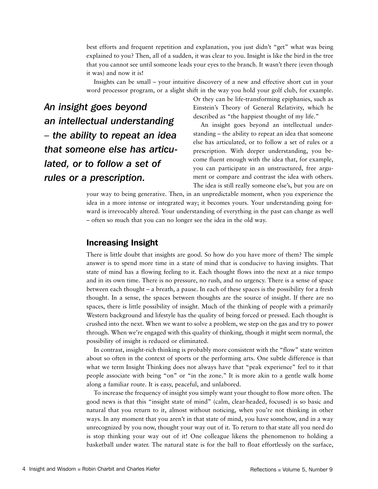best efforts and frequent repetition and explanation, you just didn't "get" what was being explained to you? Then, all of a sudden, it was clear to you. Insight is like the bird in the tree that you cannot see until someone leads your eyes to the branch. It wasn't there (even though it was) and now it is!

Insights can be small – your intuitive discovery of a new and effective short cut in your word processor program, or a slight shift in the way you hold your golf club, for example.

*An insight goes beyond an intellectual understanding – the ability to repeat an idea that someone else has articulated, or to follow a set of rules or a prescription.*

Or they can be life-transforming epiphanies, such as Einstein's Theory of General Relativity, which he described as "the happiest thought of my life."

An insight goes beyond an intellectual understanding – the ability to repeat an idea that someone else has articulated, or to follow a set of rules or a prescription. With deeper understanding, you become fluent enough with the idea that, for example, you can participate in an unstructured, free argument or compare and contrast the idea with others. The idea is still really someone else's, but you are on

your way to being generative. Then, in an unpredictable moment, when you experience the idea in a more intense or integrated way; it becomes yours. Your understanding going forward is irrevocably altered. Your understanding of everything in the past can change as well – often so much that you can no longer see the idea in the old way.

## Increasing Insight

There is little doubt that insights are good. So how do you have more of them? The simple answer is to spend more time in a state of mind that is conducive to having insights. That state of mind has a flowing feeling to it. Each thought flows into the next at a nice tempo and in its own time. There is no pressure, no rush, and no urgency. There is a sense of space between each thought – a breath, a pause. In each of these spaces is the possibility for a fresh thought. In a sense, the spaces between thoughts are the source of insight. If there are no spaces, there is little possibility of insight. Much of the thinking of people with a primarily Western background and lifestyle has the quality of being forced or pressed. Each thought is crushed into the next. When we want to solve a problem, we step on the gas and try to power through. When we're engaged with this quality of thinking, though it might seem normal, the possibility of insight is reduced or eliminated.

In contrast, insight-rich thinking is probably more consistent with the "flow" state written about so often in the context of sports or the performing arts. One subtle difference is that what we term Insight Thinking does not always have that "peak experience" feel to it that people associate with being "on" or "in the zone." It is more akin to a gentle walk home along a familiar route. It is easy, peaceful, and unlabored.

To increase the frequency of insight you simply want your thought to flow more often. The good news is that this "insight state of mind" (calm, clear-headed, focused) is so basic and natural that you return to it, almost without noticing, when you're not thinking in other ways. In any moment that you aren't in that state of mind, you have somehow, and in a way unrecognized by you now, thought your way out of it. To return to that state all you need do is stop thinking your way out of it! One colleague likens the phenomenon to holding a basketball under water. The natural state is for the ball to float effortlessly on the surface,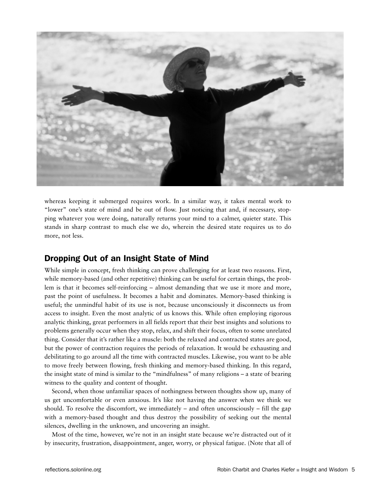

whereas keeping it submerged requires work. In a similar way, it takes mental work to "lower" one's state of mind and be out of flow. Just noticing that and, if necessary, stopping whatever you were doing, naturally returns your mind to a calmer, quieter state. This stands in sharp contrast to much else we do, wherein the desired state requires us to do more, not less.

# Dropping Out of an Insight State of Mind

While simple in concept, fresh thinking can prove challenging for at least two reasons. First, while memory-based (and other repetitive) thinking can be useful for certain things, the problem is that it becomes self-reinforcing – almost demanding that we use it more and more, past the point of usefulness. It becomes a habit and dominates. Memory-based thinking is useful; the unmindful habit of its use is not, because unconsciously it disconnects us from access to insight. Even the most analytic of us knows this. While often employing rigorous analytic thinking, great performers in all fields report that their best insights and solutions to problems generally occur when they stop, relax, and shift their focus, often to some unrelated thing. Consider that it's rather like a muscle: both the relaxed and contracted states are good, but the power of contraction requires the periods of relaxation. It would be exhausting and debilitating to go around all the time with contracted muscles. Likewise, you want to be able to move freely between flowing, fresh thinking and memory-based thinking. In this regard, the insight state of mind is similar to the "mindfulness" of many religions – a state of bearing witness to the quality and content of thought.

Second, when those unfamiliar spaces of nothingness between thoughts show up, many of us get uncomfortable or even anxious. It's like not having the answer when we think we should. To resolve the discomfort, we immediately – and often unconsciously – fill the gap with a memory-based thought and thus destroy the possibility of seeking out the mental silences, dwelling in the unknown, and uncovering an insight.

Most of the time, however, we're not in an insight state because we're distracted out of it by insecurity, frustration, disappointment, anger, worry, or physical fatigue. (Note that all of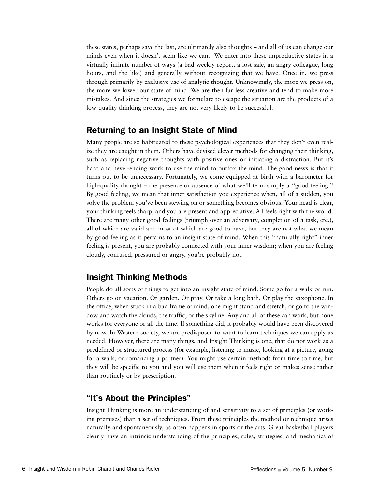these states, perhaps save the last, are ultimately also thoughts – and all of us can change our minds even when it doesn't seem like we can.) We enter into these unproductive states in a virtually infinite number of ways (a bad weekly report, a lost sale, an angry colleague, long hours, and the like) and generally without recognizing that we have. Once in, we press through primarily by exclusive use of analytic thought. Unknowingly, the more we press on, the more we lower our state of mind. We are then far less creative and tend to make more mistakes. And since the strategies we formulate to escape the situation are the products of a low-quality thinking process, they are not very likely to be successful.

# Returning to an Insight State of Mind

Many people are so habituated to these psychological experiences that they don't even realize they are caught in them. Others have devised clever methods for changing their thinking, such as replacing negative thoughts with positive ones or initiating a distraction. But it's hard and never-ending work to use the mind to outfox the mind. The good news is that it turns out to be unnecessary. Fortunately, we come equipped at birth with a barometer for high-quality thought – the presence or absence of what we'll term simply a "good feeling." By good feeling, we mean that inner satisfaction you experience when, all of a sudden, you solve the problem you've been stewing on or something becomes obvious. Your head is clear, your thinking feels sharp, and you are present and appreciative. All feels right with the world. There are many other good feelings (triumph over an adversary, completion of a task, etc.), all of which are valid and most of which are good to have, but they are not what we mean by good feeling as it pertains to an insight state of mind. When this "naturally right" inner feeling is present, you are probably connected with your inner wisdom; when you are feeling cloudy, confused, pressured or angry, you're probably not.

# Insight Thinking Methods

People do all sorts of things to get into an insight state of mind. Some go for a walk or run. Others go on vacation. Or garden. Or pray. Or take a long bath. Or play the saxophone. In the office, when stuck in a bad frame of mind, one might stand and stretch, or go to the window and watch the clouds, the traffic, or the skyline. Any and all of these can work, but none works for everyone or all the time. If something did, it probably would have been discovered by now. In Western society, we are predisposed to want to learn techniques we can apply as needed. However, there are many things, and Insight Thinking is one, that do not work as a predefined or structured process (for example, listening to music, looking at a picture, going for a walk, or romancing a partner). You might use certain methods from time to time, but they will be specific to you and you will use them when it feels right or makes sense rather than routinely or by prescription.

# "It's About the Principles"

Insight Thinking is more an understanding of and sensitivity to a set of principles (or working premises) than a set of techniques. From these principles the method or technique arises naturally and spontaneously, as often happens in sports or the arts. Great basketball players clearly have an intrinsic understanding of the principles, rules, strategies, and mechanics of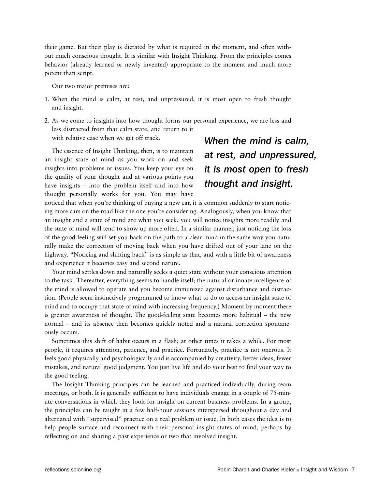their game. But their play is dictated by what is required in the moment, and often without much conscious thought. It is similar with Insight Thinking. From the principles comes behavior (already learned or newly invented) appropriate to the moment and much more potent than script.

Our two major premises are:

- 1. When the mind is calm, at rest, and unpressured, it is most open to fresh thought and insight.
- 2. As we come to insights into how thought forms our personal experience, we are less and less distracted from that calm state, and return to it with relative ease when we get off track.

The essence of Insight Thinking, then, is to maintain an insight state of mind as you work on and seek insights into problems or issues. You keep your eye on the quality of your thought and at various points you have insights – into the problem itself and into how thought personally works for you. You may have

# *When the mind is calm, at rest, and unpressured, it is most open to fresh thought and insight.*

noticed that when you're thinking of buying a new car, it is common suddenly to start noticing more cars on the road like the one you're considering. Analogously, when you know that an insight and a state of mind are what you seek, you will notice insights more readily and the state of mind will tend to show up more often. In a similar manner, just noticing the loss of the good feeling will set you back on the path to a clear mind in the same way you naturally make the correction of moving back when you have drifted out of your lane on the highway. "Noticing and shifting back" is as simple as that, and with a little bit of awareness and experience it becomes easy and second nature.

Your mind settles down and naturally seeks a quiet state without your conscious attention to the task. Thereafter, everything seems to handle itself; the natural or innate intelligence of the mind is allowed to operate and you become immunized against disturbance and distraction. (People seem instinctively programmed to know what to do to access an insight state of mind and to occupy that state of mind with increasing frequency.) Moment by moment there is greater awareness of thought. The good-feeling state becomes more habitual – the new normal – and its absence then becomes quickly noted and a natural correction spontaneously occurs.

Sometimes this shift of habit occurs in a flash; at other times it takes a while. For most people, it requires attention, patience, and practice. Fortunately, practice is not onerous. It feels good physically and psychologically and is accompanied by creativity, better ideas, fewer mistakes, and natural good judgment. You just live life and do your best to find your way to the good feeling.

The Insight Thinking principles can be learned and practiced individually, during team meetings, or both. It is generally sufficient to have individuals engage in a couple of 75-minute conversations in which they look for insight on current business problems. In a group, the principles can be taught in a few half-hour sessions interspersed throughout a day and alternated with "supervised" practice on a real problem or issue. In both cases the idea is to help people surface and reconnect with their personal insight states of mind, perhaps by reflecting on and sharing a past experience or two that involved insight.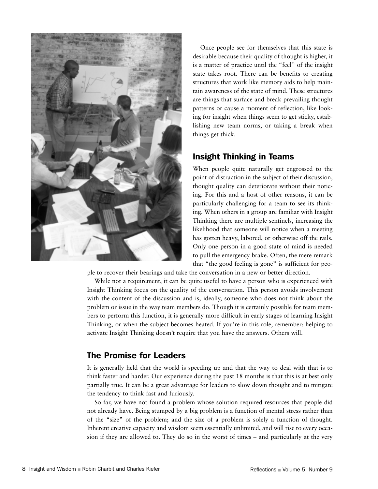

Once people see for themselves that this state is desirable because their quality of thought is higher, it is a matter of practice until the "feel" of the insight state takes root. There can be benefits to creating structures that work like memory aids to help maintain awareness of the state of mind. These structures are things that surface and break prevailing thought patterns or cause a moment of reflection, like looking for insight when things seem to get sticky, establishing new team norms, or taking a break when things get thick.

# Insight Thinking in Teams

When people quite naturally get engrossed to the point of distraction in the subject of their discussion, thought quality can deteriorate without their noticing. For this and a host of other reasons, it can be particularly challenging for a team to see its thinking. When others in a group are familiar with Insight Thinking there are multiple sentinels, increasing the likelihood that someone will notice when a meeting has gotten heavy, labored, or otherwise off the rails. Only one person in a good state of mind is needed to pull the emergency brake. Often, the mere remark that "the good feeling is gone" is sufficient for peo-

ple to recover their bearings and take the conversation in a new or better direction.

While not a requirement, it can be quite useful to have a person who is experienced with Insight Thinking focus on the quality of the conversation. This person avoids involvement with the content of the discussion and is, ideally, someone who does not think about the problem or issue in the way team members do. Though it is certainly possible for team members to perform this function, it is generally more difficult in early stages of learning Insight Thinking, or when the subject becomes heated. If you're in this role, remember: helping to activate Insight Thinking doesn't require that you have the answers. Others will.

# The Promise for Leaders

It is generally held that the world is speeding up and that the way to deal with that is to think faster and harder. Our experience during the past 18 months is that this is at best only partially true. It can be a great advantage for leaders to slow down thought and to mitigate the tendency to think fast and furiously.

So far, we have not found a problem whose solution required resources that people did not already have. Being stumped by a big problem is a function of mental stress rather than of the "size" of the problem; and the size of a problem is solely a function of thought. Inherent creative capacity and wisdom seem essentially unlimited, and will rise to every occasion if they are allowed to. They do so in the worst of times – and particularly at the very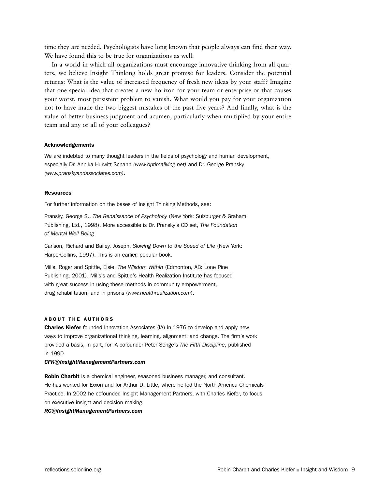time they are needed. Psychologists have long known that people always can find their way. We have found this to be true for organizations as well.

In a world in which all organizations must encourage innovative thinking from all quarters, we believe Insight Thinking holds great promise for leaders. Consider the potential returns: What is the value of increased frequency of fresh new ideas by your staff? Imagine that one special idea that creates a new horizon for your team or enterprise or that causes your worst, most persistent problem to vanish. What would you pay for your organization not to have made the two biggest mistakes of the past five years? And finally, what is the value of better business judgment and acumen, particularly when multiplied by your entire team and any or all of your colleagues?

### Acknowledgements

We are indebted to many thought leaders in the fields of psychology and human development, especially Dr. Annika Hurwitt Schahn *(www.optimaliving.net)* and Dr. George Pransky *(www.pranskyandassociates.com)*.

### Resources

For further information on the bases of Insight Thinking Methods, see:

Pransky, George S., *The Renaissance of Psychology* (New York: Sulzburger & Graham Publishing, Ltd., 1998). More accessible is Dr. Pransky's CD set, *The Foundation of Mental Well-Being*.

Carlson, Richard and Bailey, Joseph, *Slowing Down to the Speed of Life* (New York: HarperCollins, 1997). This is an earlier, popular book.

Mills, Roger and Spittle, Elsie. *The Wisdom Within* (Edmonton, AB: Lone Pine Publishing, 2001). Mills's and Spittle's Health Realization Institute has focused with great success in using these methods in community empowerment, drug rehabilitation, and in prisons (*www.healthrealization.com*).

### ABOUT THE AUTHORS

**Charles Kiefer** founded Innovation Associates (IA) in 1976 to develop and apply new ways to improve organizational thinking, learning, alignment, and change. The firm's work provided a basis, in part, for IA cofounder Peter Senge's *The Fifth Discipline*, published in 1990.

### *CFK@InsightManagementPartners.com*

Robin Charbit is a chemical engineer, seasoned business manager, and consultant. He has worked for Exxon and for Arthur D. Little, where he led the North America Chemicals Practice. In 2002 he cofounded Insight Management Partners, with Charles Kiefer, to focus on executive insight and decision making.

### *RC@InsightManagementPartners.com*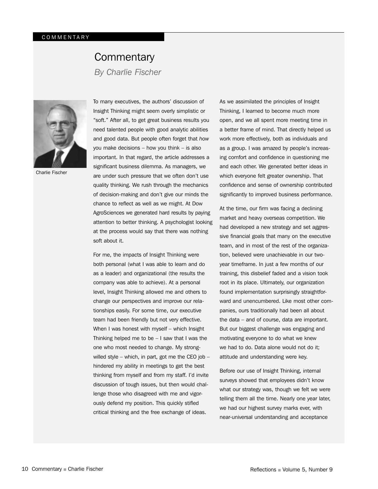# **Commentary**

*By Charlie Fischer*



Charlie Fischer

To many executives, the authors' discussion of Insight Thinking might seem overly simplistic or "soft." After all, to get great business results you need talented people with good analytic abilities and good data. But people often forget that *how* you make decisions – how you think – is also important. In that regard, the article addresses a significant business dilemma. As managers, we are under such pressure that we often don't use quality thinking. We rush through the mechanics of decision-making and don't give our minds the chance to reflect as well as we might. At Dow AgroSciences we generated hard results by paying attention to better thinking. A psychologist looking at the process would say that there was nothing soft about it.

For me, the impacts of Insight Thinking were both personal (what I was able to learn and do as a leader) and organizational (the results the company was able to achieve). At a personal level, Insight Thinking allowed me and others to change our perspectives and improve our relationships easily. For some time, our executive team had been friendly but not very effective. When I was honest with myself – which Insight Thinking helped me to be  $-1$  saw that I was the one who most needed to change. My strongwilled style – which, in part, got me the CEO job – hindered my ability in meetings to get the best thinking from myself and from my staff. I'd invite discussion of tough issues, but then would challenge those who disagreed with me and vigorously defend my position. This quickly stifled critical thinking and the free exchange of ideas.

As we assimilated the principles of Insight Thinking, I learned to become much more open, and we all spent more meeting time in a better frame of mind. That directly helped us work more effectively, both as individuals and as a group. I was amazed by people's increasing comfort and confidence in questioning me and each other. We generated better ideas in which everyone felt greater ownership. That confidence and sense of ownership contributed significantly to improved business performance.

At the time, our firm was facing a declining market and heavy overseas competition. We had developed a new strategy and set aggressive financial goals that many on the executive team, and in most of the rest of the organization, believed were unachievable in our twoyear timeframe. In just a few months of our training, this disbelief faded and a vision took root in its place. Ultimately, our organization found implementation surprisingly straightforward and unencumbered. Like most other companies, ours traditionally had been all about the data – and of course, data are important. But our biggest challenge was engaging and motivating everyone to do what we knew we had to do. Data alone would not do it; attitude and understanding were key.

Before our use of Insight Thinking, internal surveys showed that employees didn't know what our strategy was, though we felt we were telling them all the time. Nearly one year later, we had our highest survey marks ever, with near-universal understanding and acceptance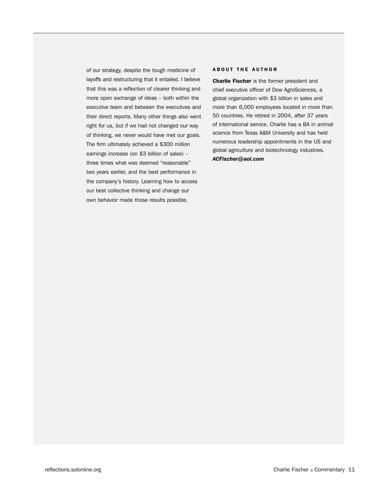of our strategy, despite the tough medicine of layoffs and restructuring that it entailed. I believe that this was a reflection of clearer thinking and more open exchange of ideas – both within the executive team and between the executives and their direct reports. Many other things also went right for us, but if we had not changed our way of thinking, we never would have met our goals. The firm ultimately achieved a \$300 million earnings increase (on \$3 billion of sales) – three times what was deemed "reasonable" two years earlier, and the best performance in the company's history. Learning how to access our best collective thinking and change our own behavior made those results possible.

### ABOUT THE AUTHOR

**Charlie Fischer** is the former president and chief executive officer of Dow AgroSciences, a global organization with \$3 billion in sales and more than 6,000 employees located in more than 50 countries. He retired in 2004, after 37 years of international service. Charlie has a BA in animal science from Texas A&M University and has held numerous leadership appointments in the US and global agriculture and biotechnology industries. *ACFischer@aol.com*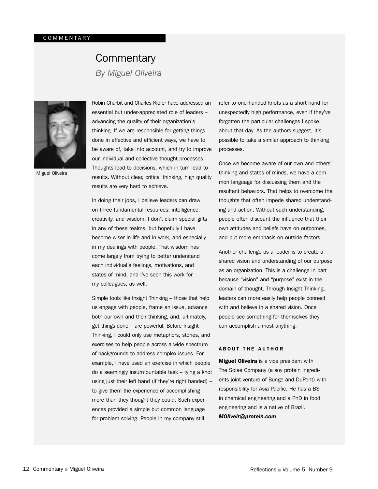# **Commentary**

*By Miguel Oliveira*



Miguel Oliveira

Robin Charbit and Charles Kiefer have addressed an essential but under-appreciated role of leaders – advancing the quality of their organization's thinking. If we are responsible for getting things done in effective and efficient ways, we have to be aware of, take into account, and try to improve our individual and collective thought processes. Thoughts lead to decisions, which in turn lead to results. Without clear, critical thinking, high quality results are very hard to achieve.

In doing their jobs, I believe leaders can draw on three fundamental resources: intelligence, creativity, and wisdom. I don't claim special gifts in any of these realms, but hopefully I have become wiser in life and in work, and especially in my dealings with people. That wisdom has come largely from trying to better understand each individual's feelings, motivations, and states of mind, and I've seen this work for my colleagues, as well.

Simple tools like Insight Thinking – those that help us engage with people, frame an issue, advance both our own and their thinking, and, ultimately, get things done – are powerful. Before Insight Thinking, I could only use metaphors, stories, and exercises to help people across a wide spectrum of backgrounds to address complex issues. For example, I have used an exercise in which people do a seemingly insurmountable task – tying a knot using just their left hand (if they're right handed) – to give them the experience of accomplishing more than they thought they could. Such experiences provided a simple but common language for problem solving. People in my company still

refer to one-handed knots as a short hand for unexpectedly high performance, even if they've forgotten the particular challenges I spoke about that day. As the authors suggest, it's possible to take a similar approach to thinking processes.

Once we become aware of our own and others' thinking and states of minds, we have a common language for discussing them and the resultant behaviors. That helps to overcome the thoughts that often impede shared understanding and action. Without such understanding, people often discount the influence that their own attitudes and beliefs have on outcomes, and put more emphasis on outside factors.

Another challenge as a leader is to create a shared vision and understanding of our purpose as an organization. This is a challenge in part because "vision" and "purpose" exist in the domain of thought. Through Insight Thinking, leaders can more easily help people connect with and believe in a shared vision. Once people see something for themselves they can accomplish almost anything.

### ABOUT THE AUTHOR

**Miguel Oliveira** is a vice president with The Solae Company (a soy protein ingredients joint-venture of Bunge and DuPont) with responsibility for Asia Pacific. He has a BS in chemical engineering and a PhD in food engineering and is a native of Brazil. *MOliveir@protein.com*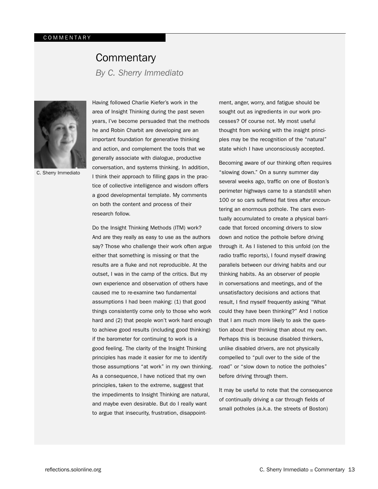# **Commentary**

*By C. Sherry Immediato*



C. Sherry Immediato

Having followed Charlie Kiefer's work in the area of Insight Thinking during the past seven years, I've become persuaded that the methods he and Robin Charbit are developing are an important foundation for generative thinking and action, and complement the tools that we generally associate with dialogue, productive conversation, and systems thinking. In addition, I think their approach to filling gaps in the practice of collective intelligence and wisdom offers a good developmental template. My comments on both the content and process of their research follow.

Do the Insight Thinking Methods (ITM) work? And are they really as easy to use as the authors say? Those who challenge their work often argue either that something is missing or that the results are a fluke and not reproducible. At the outset, I was in the camp of the critics. But my own experience and observation of others have caused me to re-examine two fundamental assumptions I had been making: (1) that good things consistently come only to those who work hard and (2) that people won't work hard enough to achieve good results (including good thinking) if the barometer for continuing to work is a good feeling. The clarity of the Insight Thinking principles has made it easier for me to identify those assumptions "at work" in my own thinking. As a consequence, I have noticed that my own principles, taken to the extreme, suggest that the impediments to Insight Thinking are natural, and maybe even desirable. But do I really want to argue that insecurity, frustration, disappointment, anger, worry, and fatigue should be sought out as ingredients in our work processes? Of course not. My most useful thought from working with the insight principles may be the recognition of the "natural" state which I have unconsciously accepted.

Becoming aware of our thinking often requires "slowing down." On a sunny summer day several weeks ago, traffic on one of Boston's perimeter highways came to a standstill when 100 or so cars suffered flat tires after encountering an enormous pothole. The cars eventually accumulated to create a physical barricade that forced oncoming drivers to slow down and notice the pothole before driving through it. As I listened to this unfold (on the radio traffic reports), I found myself drawing parallels between our driving habits and our thinking habits. As an observer of people in conversations and meetings, and of the unsatisfactory decisions and actions that result, I find myself frequently asking "What could they have been thinking?" And I notice that I am much more likely to ask the question about their thinking than about my own. Perhaps this is because disabled thinkers, unlike disabled drivers, are not physically compelled to "pull over to the side of the road" or "slow down to notice the potholes" before driving through them.

It may be useful to note that the consequence of continually driving a car through fields of small potholes (a.k.a. the streets of Boston)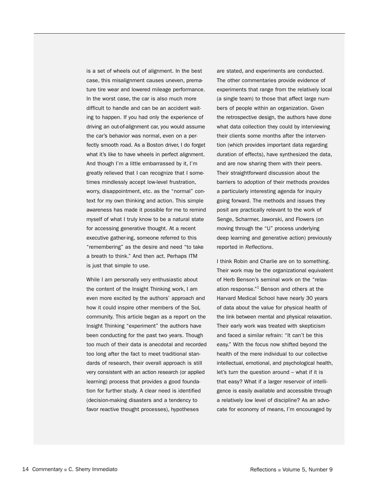is a set of wheels out of alignment. In the best case, this misalignment causes uneven, premature tire wear and lowered mileage performance. In the worst case, the car is also much more difficult to handle and can be an accident waiting to happen. If you had only the experience of driving an out-of-alignment car, you would assume the car's behavior was normal, even on a perfectly smooth road. As a Boston driver, I do forget what it's like to have wheels in perfect alignment. And though I'm a little embarrassed by it, I'm greatly relieved that I can recognize that I sometimes mindlessly accept low-level frustration, worry, disappointment, etc. as the "normal" context for my own thinking and action. This simple awareness has made it possible for me to remind myself of what I truly know to be a natural state for accessing generative thought. At a recent executive gather-ing, someone referred to this "remembering" as the desire and need "to take a breath to think." And then act. Perhaps ITM is just that simple to use.

While I am personally very enthusiastic about the content of the Insight Thinking work, I am even more excited by the authors' approach and how it could inspire other members of the SoL community. This article began as a report on the Insight Thinking "experiment" the authors have been conducting for the past two years. Though too much of their data is anecdotal and recorded too long after the fact to meet traditional standards of research, their overall approach is still very consistent with an action research (or applied learning) process that provides a good foundation for further study. A clear need is identified (decision-making disasters and a tendency to favor reactive thought processes), hypotheses

are stated, and experiments are conducted. The other commentaries provide evidence of experiments that range from the relatively local (a single team) to those that affect large numbers of people within an organization. Given the retrospective design, the authors have done what data collection they could by interviewing their clients some months after the intervention (which provides important data regarding duration of effects), have synthesized the data, and are now sharing them with their peers. Their straightforward discussion about the barriers to adoption of their methods provides a particularly interesting agenda for inquiry going forward. The methods and issues they posit are practically relevant to the work of Senge, Scharmer, Jaworski, and Flowers (on moving through the "U" process underlying deep learning and generative action) previously reported in *Reflections*.

I think Robin and Charlie are on to something. Their work may be the organizational equivalent of Herb Benson's seminal work on the "relaxation response."<sup>1</sup> Benson and others at the Harvard Medical School have nearly 30 years of data about the value for physical health of the link between mental and physical relaxation. Their early work was treated with skepticism and faced a similar refrain: "It can't be this easy." With the focus now shifted beyond the health of the mere individual to our collective intellectual, emotional, and psychological health, let's turn the question around – what if it is that easy? What if a larger reservoir of intelligence is easily available and accessible through a relatively low level of discipline? As an advocate for economy of means, I'm encouraged by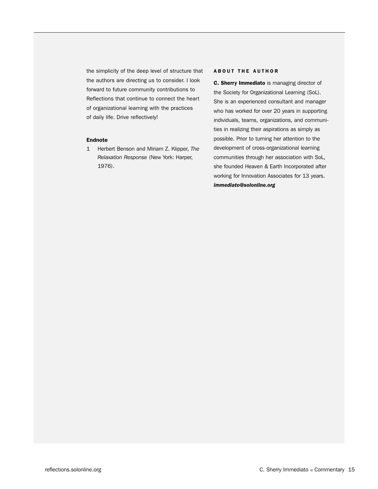the simplicity of the deep level of structure that the authors are directing us to consider. I look forward to future community contributions to Reflections that continue to connect the heart of organizational learning with the practices of daily life. Drive reflectively!

### Endnote

1 Herbert Benson and Miriam Z. Klipper, *The Relaxation Response* (New York: Harper, 1976).

ABOUT THE AUTHOR<br>
C. Sherry Immediato is managing director of<br>
the Society for Organizational Learning (SoL).<br>
She is an experienced consultant and manager<br>
who has worked for over 20 years in supporting<br>
individuals, team C. Sherry Immediato is managing director of the Society for Organizational Learning (SoL). She is an experienced consultant and manager who has worked for over 20 years in supporting individuals, teams, organizations, and communities in realizing their aspirations as simply as possible. Prior to turning her attention to the development of cross-organizational learning communities through her association with SoL, she founded Heaven & Earth Incorporated after working for Innovation Associates for 13 years. *immediato@solonline.org*